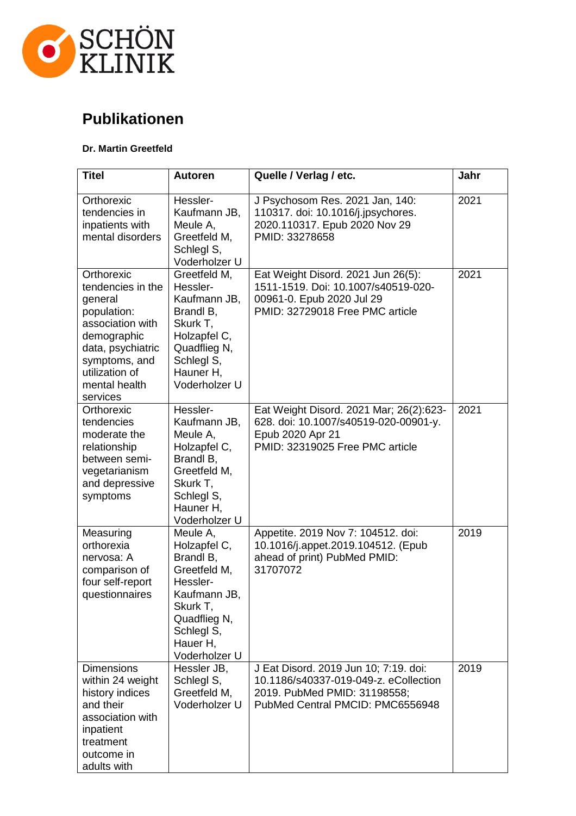

## **Publikationen**

## **Dr. Martin Greetfeld**

| <b>Titel</b>                                                                                                                                                                      | <b>Autoren</b>                                                                                                                                           | Quelle / Verlag / etc.                                                                                                                             | Jahr |
|-----------------------------------------------------------------------------------------------------------------------------------------------------------------------------------|----------------------------------------------------------------------------------------------------------------------------------------------------------|----------------------------------------------------------------------------------------------------------------------------------------------------|------|
| Orthorexic<br>tendencies in<br>inpatients with<br>mental disorders                                                                                                                | Hessler-<br>Kaufmann JB,<br>Meule A,<br>Greetfeld M,<br>Schlegl S,<br>Voderholzer U                                                                      | J Psychosom Res. 2021 Jan, 140:<br>110317. doi: 10.1016/j.jpsychores.<br>2020.110317. Epub 2020 Nov 29<br>PMID: 33278658                           | 2021 |
| Orthorexic<br>tendencies in the<br>general<br>population:<br>association with<br>demographic<br>data, psychiatric<br>symptoms, and<br>utilization of<br>mental health<br>services | Greetfeld M,<br>Hessler-<br>Kaufmann JB,<br>Brandl B,<br>Skurk T,<br>Holzapfel C,<br>Quadflieg N,<br>Schlegl S,<br>Hauner H.<br>Voderholzer U            | Eat Weight Disord. 2021 Jun 26(5):<br>1511-1519. Doi: 10.1007/s40519-020-<br>00961-0. Epub 2020 Jul 29<br>PMID: 32729018 Free PMC article          | 2021 |
| Orthorexic<br>tendencies<br>moderate the<br>relationship<br>between semi-<br>vegetarianism<br>and depressive<br>symptoms                                                          | Hessler-<br>Kaufmann JB,<br>Meule A.<br>Holzapfel C,<br>Brandl B,<br>Greetfeld M,<br>Skurk T,<br>Schlegl S,<br>Hauner H,<br>Voderholzer U                | Eat Weight Disord. 2021 Mar; 26(2):623-<br>628. doi: 10.1007/s40519-020-00901-y.<br>Epub 2020 Apr 21<br>PMID: 32319025 Free PMC article            | 2021 |
| Measuring<br>orthorexia<br>nervosa: A<br>comparison of<br>four self-report<br>questionnaires                                                                                      | Meule A,<br>Holzapfel C,<br>Brandl B,<br>Greetfeld M,<br>Hessler-<br>Kaufmann JB,<br>Skurk T,<br>Quadflieg N,<br>Schlegl S,<br>Hauer H,<br>Voderholzer U | Appetite. 2019 Nov 7: 104512. doi:<br>10.1016/j.appet.2019.104512. (Epub<br>ahead of print) PubMed PMID:<br>31707072                               | 2019 |
| <b>Dimensions</b><br>within 24 weight<br>history indices<br>and their<br>association with<br>inpatient<br>treatment<br>outcome in<br>adults with                                  | Hessler JB,<br>Schlegl S,<br>Greetfeld M,<br>Voderholzer U                                                                                               | J Eat Disord. 2019 Jun 10; 7:19. doi:<br>10.1186/s40337-019-049-z. eCollection<br>2019. PubMed PMID: 31198558;<br>PubMed Central PMCID: PMC6556948 | 2019 |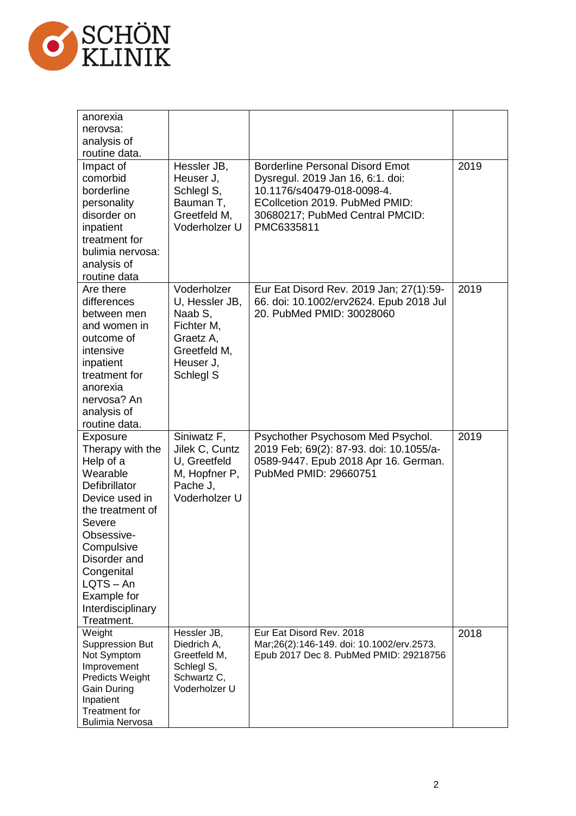

| anorexia                   |                          |                                                                |      |
|----------------------------|--------------------------|----------------------------------------------------------------|------|
| nerovsa:                   |                          |                                                                |      |
| analysis of                |                          |                                                                |      |
| routine data.              |                          | <b>Borderline Personal Disord Emot</b>                         |      |
| Impact of<br>comorbid      | Hessler JB,<br>Heuser J. |                                                                | 2019 |
| borderline                 |                          | Dysregul. 2019 Jan 16, 6:1. doi:<br>10.1176/s40479-018-0098-4. |      |
|                            | Schlegl S,<br>Bauman T,  | ECollcetion 2019. PubMed PMID:                                 |      |
| personality<br>disorder on | Greetfeld M,             | 30680217; PubMed Central PMCID:                                |      |
| inpatient                  | Voderholzer U            | PMC6335811                                                     |      |
| treatment for              |                          |                                                                |      |
| bulimia nervosa:           |                          |                                                                |      |
| analysis of                |                          |                                                                |      |
| routine data               |                          |                                                                |      |
| Are there                  | Voderholzer              | Eur Eat Disord Rev. 2019 Jan; 27(1):59-                        | 2019 |
| differences                | U, Hessler JB,           | 66. doi: 10.1002/erv2624. Epub 2018 Jul                        |      |
| between men                | Naab S.                  | 20. PubMed PMID: 30028060                                      |      |
| and women in               | Fichter M,               |                                                                |      |
| outcome of                 | Graetz A.                |                                                                |      |
| intensive                  | Greetfeld M,             |                                                                |      |
| inpatient                  | Heuser J,                |                                                                |      |
| treatment for              | Schlegl S                |                                                                |      |
| anorexia                   |                          |                                                                |      |
| nervosa? An                |                          |                                                                |      |
| analysis of                |                          |                                                                |      |
| routine data.              |                          |                                                                |      |
| Exposure                   | Siniwatz F,              | Psychother Psychosom Med Psychol.                              | 2019 |
| Therapy with the           | Jilek C, Cuntz           | 2019 Feb; 69(2): 87-93. doi: 10.1055/a-                        |      |
| Help of a                  | U, Greetfeld             | 0589-9447. Epub 2018 Apr 16. German.                           |      |
| Wearable                   | M, Hopfner P,            | PubMed PMID: 29660751                                          |      |
| Defibrillator              | Pache J,                 |                                                                |      |
| Device used in             | Voderholzer U            |                                                                |      |
| the treatment of           |                          |                                                                |      |
| Severe<br>Obsessive-       |                          |                                                                |      |
| Compulsive                 |                          |                                                                |      |
| Disorder and               |                          |                                                                |      |
| Congenital                 |                          |                                                                |      |
| $LQTS - An$                |                          |                                                                |      |
| Example for                |                          |                                                                |      |
| Interdisciplinary          |                          |                                                                |      |
| Treatment.                 |                          |                                                                |      |
| Weight                     | Hessler JB,              | Eur Eat Disord Rev. 2018                                       | 2018 |
| Suppression But            | Diedrich A,              | Mar;26(2):146-149. doi: 10.1002/erv.2573.                      |      |
| Not Symptom                | Greetfeld M,             | Epub 2017 Dec 8. PubMed PMID: 29218756                         |      |
| Improvement                | Schlegl S,               |                                                                |      |
| <b>Predicts Weight</b>     | Schwartz C,              |                                                                |      |
| Gain During<br>Inpatient   | Voderholzer U            |                                                                |      |
| <b>Treatment for</b>       |                          |                                                                |      |
| <b>Bulimia Nervosa</b>     |                          |                                                                |      |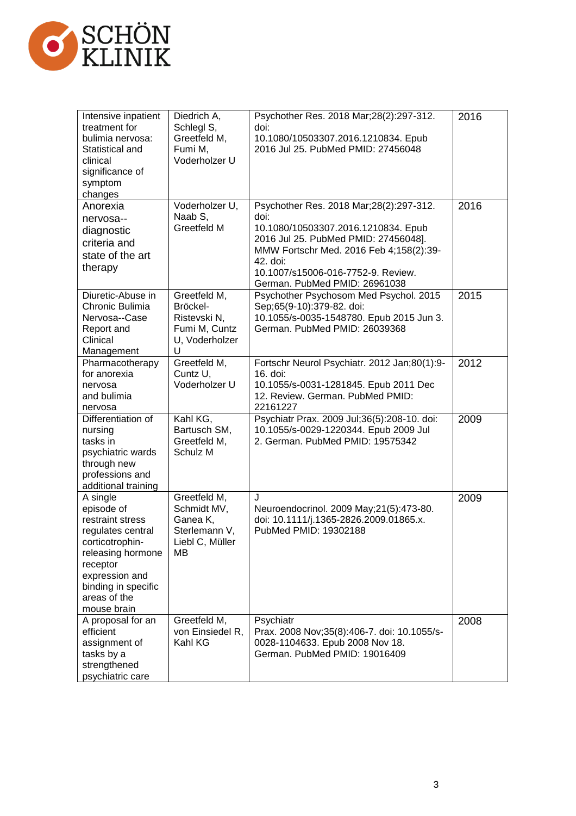

| Intensive inpatient<br>treatment for<br>bulimia nervosa:<br>Statistical and<br>clinical<br>significance of<br>symptom<br>changes                                                            | Diedrich A,<br>Schlegl S,<br>Greetfeld M,<br>Fumi M,<br>Voderholzer U             | Psychother Res. 2018 Mar; 28(2): 297-312.<br>doi:<br>10.1080/10503307.2016.1210834. Epub<br>2016 Jul 25. PubMed PMID: 27456048                                                                                                                                 | 2016 |
|---------------------------------------------------------------------------------------------------------------------------------------------------------------------------------------------|-----------------------------------------------------------------------------------|----------------------------------------------------------------------------------------------------------------------------------------------------------------------------------------------------------------------------------------------------------------|------|
| Anorexia<br>nervosa--<br>diagnostic<br>criteria and<br>state of the art<br>therapy                                                                                                          | Voderholzer U,<br>Naab S,<br>Greetfeld M                                          | Psychother Res. 2018 Mar; 28(2): 297-312.<br>doi:<br>10.1080/10503307.2016.1210834. Epub<br>2016 Jul 25. PubMed PMID: 27456048].<br>MMW Fortschr Med. 2016 Feb 4;158(2):39-<br>42. doi:<br>10.1007/s15006-016-7752-9. Review.<br>German. PubMed PMID: 26961038 | 2016 |
| Diuretic-Abuse in<br>Chronic Bulimia<br>Nervosa--Case<br>Report and<br>Clinical<br>Management                                                                                               | Greetfeld M,<br>Bröckel-<br>Ristevski N,<br>Fumi M, Cuntz<br>U, Voderholzer<br>U  | Psychother Psychosom Med Psychol. 2015<br>Sep;65(9-10):379-82. doi:<br>10.1055/s-0035-1548780. Epub 2015 Jun 3.<br>German. PubMed PMID: 26039368                                                                                                               | 2015 |
| Pharmacotherapy<br>for anorexia<br>nervosa<br>and bulimia<br>nervosa                                                                                                                        | Greetfeld M,<br>Cuntz U,<br>Voderholzer U                                         | Fortschr Neurol Psychiatr. 2012 Jan;80(1):9-<br>16. doi:<br>10.1055/s-0031-1281845. Epub 2011 Dec<br>12. Review. German. PubMed PMID:<br>22161227                                                                                                              | 2012 |
| Differentiation of<br>nursing<br>tasks in<br>psychiatric wards<br>through new<br>professions and<br>additional training                                                                     | Kahl KG,<br>Bartusch SM,<br>Greetfeld M,<br>Schulz M                              | Psychiatr Prax. 2009 Jul;36(5):208-10. doi:<br>10.1055/s-0029-1220344. Epub 2009 Jul<br>2. German. PubMed PMID: 19575342                                                                                                                                       | 2009 |
| A single<br>episode of<br>restraint stress<br>regulates central<br>corticotrophin-<br>releasing hormone<br>receptor<br>expression and<br>binding in specific<br>areas of the<br>mouse brain | Greetfeld M,<br>Schmidt MV,<br>Ganea K,<br>Sterlemann V,<br>Liebl C, Müller<br>MВ | J<br>Neuroendocrinol. 2009 May; 21(5): 473-80.<br>doi: 10.1111/j.1365-2826.2009.01865.x.<br>PubMed PMID: 19302188                                                                                                                                              | 2009 |
| A proposal for an<br>efficient<br>assignment of<br>tasks by a<br>strengthened<br>psychiatric care                                                                                           | Greetfeld M,<br>von Einsiedel R,<br>Kahl KG                                       | Psychiatr<br>Prax. 2008 Nov;35(8):406-7. doi: 10.1055/s-<br>0028-1104633. Epub 2008 Nov 18.<br>German, PubMed PMID: 19016409                                                                                                                                   | 2008 |